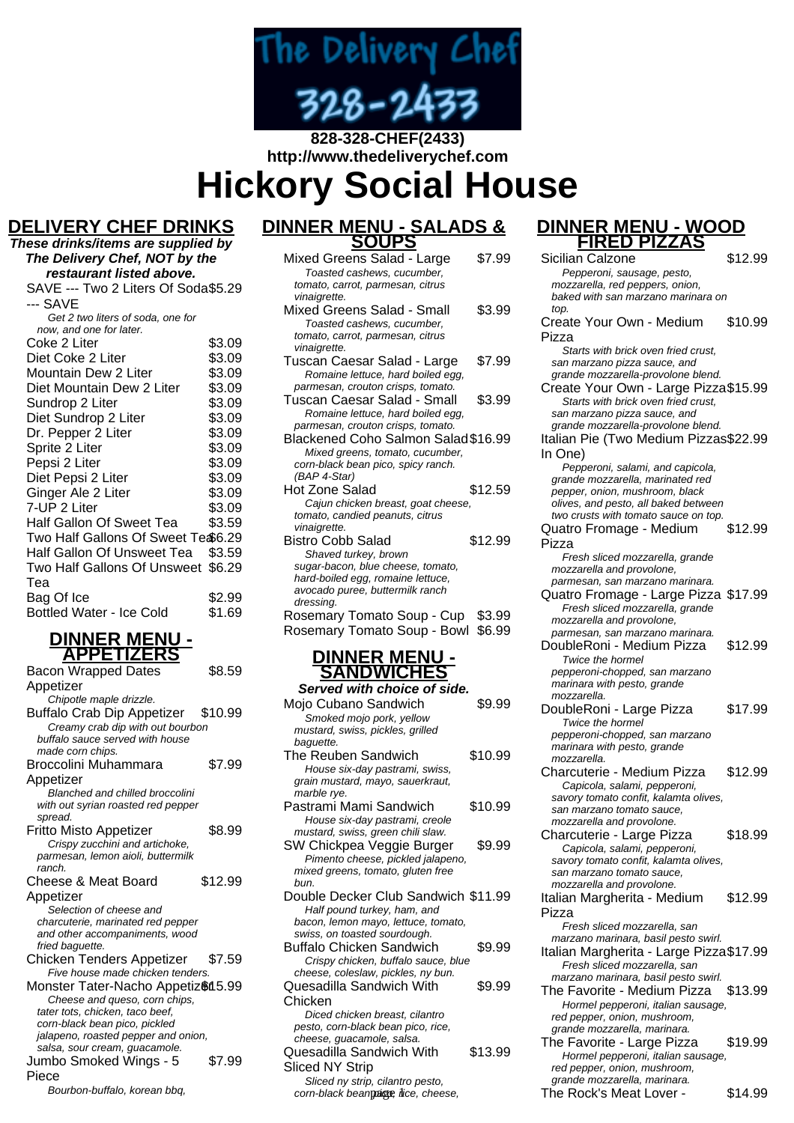

# **828-328-CHEF(2433) http://www.thedeliverychef.com Hickory Social House**

## **DELIVERY CHEF DRINKS**

| These drinks/items are supplied by  |        |
|-------------------------------------|--------|
| The Delivery Chef, NOT by the       |        |
| restaurant listed above.            |        |
| SAVE --- Two 2 Liters Of Soda\$5.29 |        |
| --- SAVE                            |        |
| Get 2 two liters of soda, one for   |        |
| now, and one for later.             |        |
| Coke 2 Liter                        | \$3.09 |
| Diet Coke 2 Liter                   | \$3.09 |
| Mountain Dew 2 Liter                | \$3.09 |
| Diet Mountain Dew 2 Liter           | \$3.09 |
| Sundrop 2 Liter                     | \$3.09 |
| Diet Sundrop 2 Liter                | \$3.09 |
| Dr. Pepper 2 Liter                  | \$3.09 |
| Sprite 2 Liter                      | \$3.09 |
| Pepsi 2 Liter                       | \$3.09 |
| Diet Pepsi 2 Liter                  | \$3.09 |
| Ginger Ale 2 Liter                  | \$3.09 |
| 7-UP 2 Liter                        | \$3.09 |
| Half Gallon Of Sweet Tea            | \$3.59 |
| Two Half Gallons Of Sweet Te \$6.29 |        |
| Half Gallon Of Unsweet Tea          | \$3.59 |
| Two Half Gallons Of Unsweet         | \$6.29 |
| Tea                                 |        |
| Bag Of Ice                          | \$2.99 |
| <b>Bottled Water - Ice Cold</b>     | \$1.69 |
|                                     |        |

#### **DINNER MENU - APPETIZERS**

| Appetizer<br>Chipotle maple drizzle.<br><b>Buffalo Crab Dip Appetizer</b> |         |
|---------------------------------------------------------------------------|---------|
|                                                                           |         |
|                                                                           |         |
|                                                                           | \$10.99 |
| Creamy crab dip with out bourbon                                          |         |
| buffalo sauce served with house                                           |         |
| made corn chips.                                                          |         |
| Broccolini Muhammara                                                      | \$7.99  |
| Appetizer                                                                 |         |
| <b>Blanched and chilled broccolini</b>                                    |         |
| with out syrian roasted red pepper                                        |         |
| spread.                                                                   |         |
| Fritto Misto Appetizer                                                    | \$8.99  |
| Crispy zucchini and artichoke,                                            |         |
| parmesan, lemon aioli, buttermilk                                         |         |
| ranch.                                                                    |         |
| Cheese & Meat Board                                                       | \$12.99 |
| Appetizer                                                                 |         |
| Selection of cheese and                                                   |         |
| charcuterie, marinated red pepper                                         |         |
| and other accompaniments, wood                                            |         |
| fried baguette.                                                           |         |
| Chicken Tenders Appetizer                                                 | \$7.59  |
| Five house made chicken tenders.                                          |         |
| Monster Tater-Nacho Appetiz&15.99                                         |         |
| Cheese and queso, corn chips,                                             |         |
| tater tots, chicken, taco beef,                                           |         |
|                                                                           |         |
| corn-black bean pico, pickled                                             |         |
| jalapeno, roasted pepper and onion,                                       |         |
| salsa, sour cream, guacamole.                                             |         |
| Jumbo Smoked Wings - 5<br>Piece                                           | \$7.99  |

Bourbon-buffalo, korean bbq,

## **DINNER MENU - SALADS & SOUPS**

| Mixed Greens Salad - Large<br>Toasted cashews, cucumber,<br>tomato, carrot, parmesan, citrus                                                                           | \$7.99           |
|------------------------------------------------------------------------------------------------------------------------------------------------------------------------|------------------|
| vinaigrette.<br>Mixed Greens Salad - Small<br>Toasted cashews, cucumber,<br>tomato, carrot, parmesan, citrus                                                           | \$3.99           |
| vinaigrette.<br>Tuscan Caesar Salad - Large<br>Romaine lettuce, hard boiled egg,                                                                                       | \$7.99           |
| parmesan, crouton crisps, tomato.<br>Tuscan Caesar Salad - Small<br>Romaine lettuce, hard boiled egg,                                                                  | \$3.99           |
| parmesan, crouton crisps, tomato.<br>Blackened Coho Salmon Salad\$16.99<br>Mixed greens, tomato, cucumber,<br>corn-black bean pico, spicy ranch.                       |                  |
| (BAP 4-Star)<br>Hot Zone Salad<br>Cajun chicken breast, goat cheese,<br>tomato, candied peanuts, citrus                                                                | \$12.59          |
| vinaigrette.<br>Bistro Cobb Salad<br>Shaved turkey, brown<br>sugar-bacon, blue cheese, tomato,<br>hard-boiled egg, romaine lettuce,<br>avocado puree, buttermilk ranch | \$12.99          |
| dressing.<br>Rosemary Tomato Soup - Cup<br>Rosemary Tomato Soup - Bowl                                                                                                 | \$3.99<br>\$6.99 |
| <b>DINNER MENU -</b><br><b>SANDWICHES</b>                                                                                                                              |                  |
| Served with choice of side.<br>.                                                                                                                                       |                  |

| Mojo Cubano Sandwich<br>Smoked mojo pork, yellow<br>mustard, swiss, pickles, grilled<br>baquette.                                                                                                      | \$9.99  |
|--------------------------------------------------------------------------------------------------------------------------------------------------------------------------------------------------------|---------|
| The Reuben Sandwich<br>House six-day pastrami, swiss,<br>grain mustard, mayo, sauerkraut,                                                                                                              | \$10.99 |
| marble rye.<br>Pastrami Mami Sandwich                                                                                                                                                                  | \$10.99 |
| House six-day pastrami, creole<br>mustard, swiss, green chili slaw.<br>SW Chickpea Veggie Burger<br>Pimento cheese, pickled jalapeno,<br>mixed greens, tomato, gluten free                             | \$9.99  |
| bun.<br>Double Decker Club Sandwich \$11.99<br>Half pound turkey, ham, and<br>bacon, lemon mayo, lettuce, tomato,                                                                                      |         |
| swiss, on toasted sourdough.<br>Buffalo Chicken Sandwich<br>Crispy chicken, buffalo sauce, blue                                                                                                        | \$9.99  |
| cheese, coleslaw, pickles, ny bun.<br>Quesadilla Sandwich With                                                                                                                                         | \$9.99  |
| Chicken<br>Diced chicken breast, cilantro<br>pesto, corn-black bean pico, rice,<br>cheese, quacamole, salsa.<br>Quesadilla Sandwich With<br><b>Sliced NY Strip</b><br>Sliced ny strip, cilantro pesto, | \$13.99 |

corn-black bean pige, lice, cheese,

**DINNER MENU - WOOD FIRED PIZZAS**

Sicilian Calzone \$12.99 Pepperoni, sausage, pesto, mozzarella, red peppers, onion, baked with san marzano marinara on top. Create Your Own - Medium Pizza \$10.99 Starts with brick oven fried crust, san marzano pizza sauce, and grande mozzarella-provolone blend. Create Your Own - Large Pizza\$15.99 Starts with brick oven fried crust, san marzano pizza sauce, and grande mozzarella-provolone blend. Italian Pie (Two Medium Pizzas \$22.99 In One) Pepperoni, salami, and capicola, grande mozzarella, marinated red pepper, onion, mushroom, black olives, and pesto, all baked between two crusts with tomato sauce on top. Quatro Fromage - Medium Pizza \$12.99 Fresh sliced mozzarella, grande mozzarella and provolone, parmesan, san marzano marinara. Quatro Fromage - Large Pizza \$17.99 Fresh sliced mozzarella, grande mozzarella and provolone, parmesan, san marzano marinara. DoubleRoni - Medium Pizza \$12.99 Twice the hormel pepperoni-chopped, san marzano marinara with pesto, grande mozzarella. DoubleRoni - Large Pizza \$17.99 Twice the hormel pepperoni-chopped, san marzano marinara with pesto, grande mozzarella. Charcuterie - Medium Pizza \$12.99 Capicola, salami, pepperoni, savory tomato confit, kalamta olives, san marzano tomato sauce, mozzarella and provolone. Charcuterie - Large Pizza \$18.99 Capicola, salami, pepperoni, savory tomato confit, kalamta olives, san marzano tomato sauce, mozzarella and provolone. Italian Margherita - Medium Pizza \$12.99 Fresh sliced mozzarella, san marzano marinara, basil pesto swirl. Italian Margherita - Large Pizza\$17.99 Fresh sliced mozzarella, san marzano marinara, basil pesto swirl. The Favorite - Medium Pizza \$13.99 Hormel pepperoni, italian sausage, red pepper, onion, mushroom, grande mozzarella, marinara. The Favorite - Large Pizza \$19.99 Hormel pepperoni, italian sausage, red pepper, onion, mushroom, grande mozzarella, marinara.

The Rock's Meat Lover - \$14.99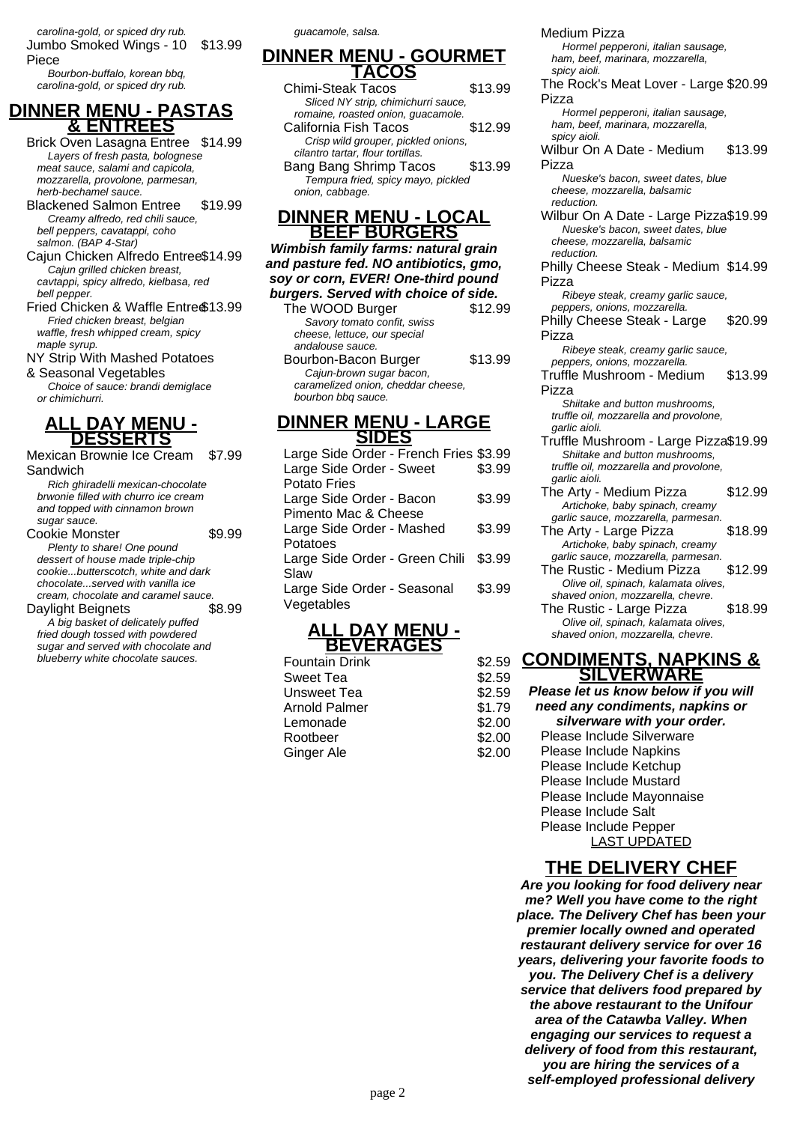carolina-gold, or spiced dry rub. Jumbo Smoked Wings - 10 Piece \$13.99

Bourbon-buffalo, korean bbq, carolina-gold, or spiced dry rub.

### **DINNER MENU - PASTAS & ENTREES**

Brick Oven Lasagna Entree \$14.99 Layers of fresh pasta, bolognese meat sauce, salami and capicola, mozzarella, provolone, parmesan, herb-bechamel sauce.

- Blackened Salmon Entree \$19.99 Creamy alfredo, red chili sauce, bell peppers, cavatappi, coho salmon. (BAP 4-Star)
- Cajun Chicken Alfredo Entree\$14.99 Cajun grilled chicken breast, cavtappi, spicy alfredo, kielbasa, red bell pepper.
- Fried Chicken & Waffle Entre \$13.99 Fried chicken breast, belgian waffle, fresh whipped cream, spicy maple syrup.

NY Strip With Mashed Potatoes & Seasonal Vegetables

Choice of sauce: brandi demiglace or chimichurri.

## **ALL DAY MENU - DESSERTS**

Mexican Brownie Ice Cream \$7.99 Sandwich

Rich ghiradelli mexican-chocolate brwonie filled with churro ice cream and topped with cinnamon brown sugar sauce.

Cookie Monster **\$9.99** Plenty to share! One pound dessert of house made triple-chip cookie...butterscotch, white and dark chocolate...served with vanilla ice cream, chocolate and caramel sauce.<br>
avlight Beignets
\$8.99 Daylight Beignets

A big basket of delicately puffed fried dough tossed with powdered sugar and served with chocolate and blueberry white chocolate sauces.

guacamole, salsa.

#### **DINNER MENU - GOURMET TACOS**

- Chimi-Steak Tacos \$13.99 Sliced NY strip, chimichurri sauce, romaine, roasted onion, guacamole. California Fish Tacos \$12.99 Crisp wild grouper, pickled onions,
- cilantro tartar, flour tortillas. Bang Bang Shrimp Tacos \$13.99
- Tempura fried, spicy mayo, pickled onion, cabbage.

#### **DINNER MENU - LOCAL BEEF BURGERS**

**Wimbish family farms: natural grain and pasture fed. NO antibiotics, gmo, soy or corn, EVER! One-third pound burgers. Served with choice of side.**

The WOOD Burger \$12.99 Savory tomato confit, swiss cheese, lettuce, our special andalouse sauce.

Bourbon-Bacon Burger \$13.99 Cajun-brown sugar bacon, caramelized onion, cheddar cheese, bourbon bbq sauce.

#### **DINNER MENU - LARGE SIDES**

| Large Side Order - French Fries \$3.99 |        |
|----------------------------------------|--------|
| Large Side Order - Sweet               | \$3.99 |
| Potato Fries                           |        |
| Large Side Order - Bacon               | \$3.99 |
| Pimento Mac & Cheese                   |        |
| Large Side Order - Mashed              | \$3.99 |
| Potatoes                               |        |
| Large Side Order - Green Chili \$3.99  |        |
| Slaw                                   |        |
| Large Side Order - Seasonal            | \$3.99 |
| Vegetables                             |        |
|                                        |        |

#### **ALL DAY MENU - BEVERAGES**

**Fountain Drink** Sweet Tea Unsweet Tea  $$2.59$ Arnold Palmer \$1.79 Lemonade \$2.00 Rootbeer \$2.00 Ginger Ale \$2.00 Medium Pizza

Hormel pepperoni, italian sausage, ham, beef, marinara, mozzarella, spicy aioli.

#### The Rock's Meat Lover - Large \$20.99 Pizza

Hormel pepperoni, italian sausage, ham, beef, marinara, mozzarella, spicy aioli.

- Wilbur On A Date Medium Pizza \$13.99
	- Nueske's bacon, sweet dates, blue cheese, mozzarella, balsamic reduction.
- Wilbur On A Date Large Pizza\$19.99 Nueske's bacon, sweet dates, blue cheese, mozzarella, balsamic reduction.

Philly Cheese Steak - Medium \$14.99 Pizza

- Ribeye steak, creamy garlic sauce, peppers, onions, mozzarella.
- Philly Cheese Steak Large Pizza \$20.99

Ribeye steak, creamy garlic sauce, peppers, onions, mozzarella.

Truffle Mushroom - Medium Pizza \$13.99

Shiitake and button mushrooms, truffle oil, mozzarella and provolone, garlic aioli.

- Truffle Mushroom Large Pizza\$19.99 Shiitake and button mushrooms, truffle oil, mozzarella and provolone, garlic aioli.
- The Arty Medium Pizza \$12.99 Artichoke, baby spinach, creamy garlic sauce, mozzarella, parmesan.
- The Arty Large Pizza \$18.99 Artichoke, baby spinach, creamy garlic sauce, mozzarella, parmesan.
- The Rustic Medium Pizza \$12.99 Olive oil, spinach, kalamata olives, shaved onion, mozzarella, chevre.
- The Rustic Large Pizza \$18.99 Olive oil, spinach, kalamata olives, shaved onion, mozzarella, chevre.

### **CONDIMENTS, NAPKINS & SILVERWARE**

**Please let us know below if you will need any condiments, napkins or silverware with your order.** Please Include Silverware Please Include Napkins Please Include Ketchup Please Include Mustard Please Include Mayonnaise Please Include Salt Please Include Pepper LAST UPDATED

## **THE DELIVERY CHEF**

**Are you looking for food delivery near me? Well you have come to the right place. The Delivery Chef has been your premier locally owned and operated restaurant delivery service for over 16 years, delivering your favorite foods to you. The Delivery Chef is a delivery service that delivers food prepared by the above restaurant to the Unifour area of the Catawba Valley. When engaging our services to request a delivery of food from this restaurant, you are hiring the services of a self-employed professional delivery**